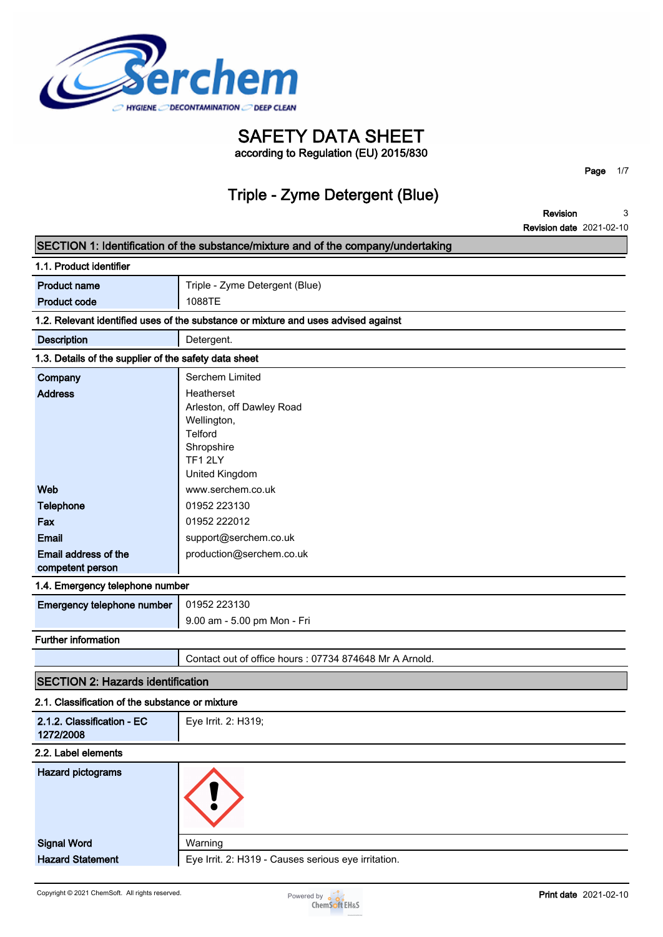

**SAFETY DATA SHEET according to Regulation (EU) 2015/830**

### **Triple - Zyme Detergent (Blue)**

**Page 1/7**

**Revision 3**

|                                                       | <b>Revision date</b> 2021-02-10                                                    |
|-------------------------------------------------------|------------------------------------------------------------------------------------|
|                                                       | SECTION 1: Identification of the substance/mixture and of the company/undertaking  |
| 1.1. Product identifier                               |                                                                                    |
| <b>Product name</b>                                   | Triple - Zyme Detergent (Blue)                                                     |
| <b>Product code</b>                                   | 1088TE                                                                             |
|                                                       | 1.2. Relevant identified uses of the substance or mixture and uses advised against |
| <b>Description</b>                                    | Detergent.                                                                         |
| 1.3. Details of the supplier of the safety data sheet |                                                                                    |
| Company                                               | Serchem Limited                                                                    |
| <b>Address</b>                                        | Heatherset                                                                         |
|                                                       | Arleston, off Dawley Road                                                          |
|                                                       | Wellington,                                                                        |
|                                                       | Telford                                                                            |
|                                                       | Shropshire<br>TF1 2LY                                                              |
|                                                       | United Kingdom                                                                     |
| Web                                                   | www.serchem.co.uk                                                                  |
| Telephone                                             | 01952 223130                                                                       |
| Fax                                                   | 01952 222012                                                                       |
| Email                                                 | support@serchem.co.uk                                                              |
| Email address of the                                  | production@serchem.co.uk                                                           |
| competent person                                      |                                                                                    |
| 1.4. Emergency telephone number                       |                                                                                    |
| Emergency telephone number                            | 01952 223130                                                                       |
|                                                       | 9.00 am - 5.00 pm Mon - Fri                                                        |
| <b>Further information</b>                            |                                                                                    |
|                                                       | Contact out of office hours : 07734 874648 Mr A Arnold.                            |
| <b>SECTION 2: Hazards identification</b>              |                                                                                    |
| 2.1. Classification of the substance or mixture       |                                                                                    |
| 2.1.2. Classification - EC<br>1272/2008               | Eye Irrit. 2: H319;                                                                |
| 2.2. Label elements                                   |                                                                                    |
| <b>Hazard pictograms</b>                              |                                                                                    |
| <b>Signal Word</b>                                    | Warning                                                                            |
| <b>Hazard Statement</b>                               | Eye Irrit. 2: H319 - Causes serious eye irritation.                                |

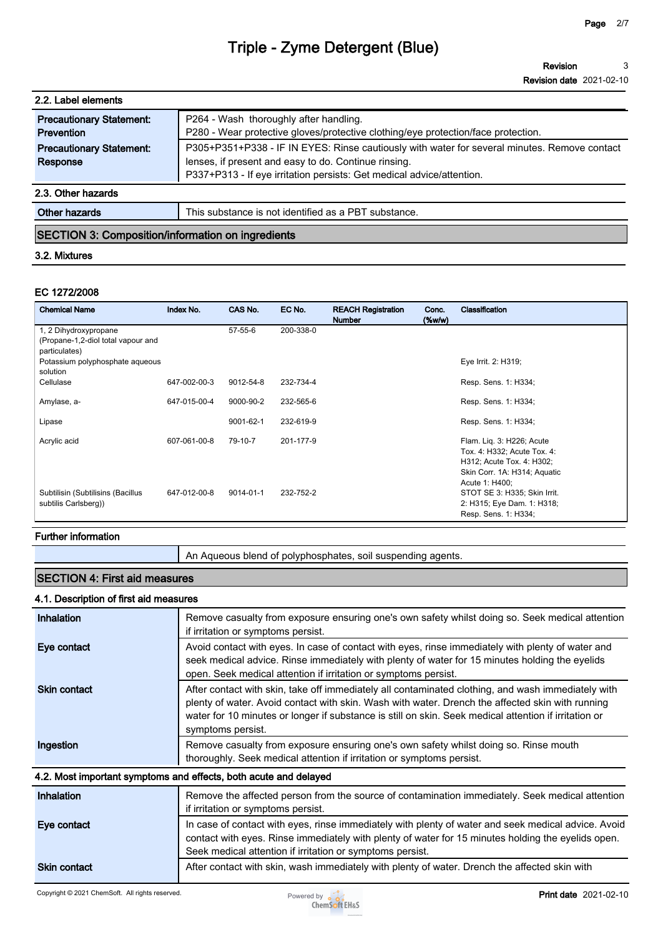**Revision Revision date 2021-02-10 3**

| 2.2. Label elements                           |                                                                                                                                                                                                                               |
|-----------------------------------------------|-------------------------------------------------------------------------------------------------------------------------------------------------------------------------------------------------------------------------------|
| <b>Precautionary Statement:</b><br>Prevention | P264 - Wash thoroughly after handling.<br>P280 - Wear protective gloves/protective clothing/eye protection/face protection.                                                                                                   |
| <b>Precautionary Statement:</b><br>Response   | P305+P351+P338 - IF IN EYES: Rinse cautiously with water for several minutes. Remove contact<br>lenses, if present and easy to do. Continue rinsing.<br>P337+P313 - If eye irritation persists: Get medical advice/attention. |
| 2.3. Other hazards                            |                                                                                                                                                                                                                               |
| <b>Other hazards</b>                          | This substance is not identified as a PBT substance.                                                                                                                                                                          |

### **SECTION 3: Composition/information on ingredients**

#### **3.2. Mixtures**

#### **EC 1272/2008**

| <b>Chemical Name</b>               | Index No.    | CAS No.       | EC No.    | <b>REACH Registration</b><br><b>Number</b> | Conc.<br>$(\%w/w)$ | Classification               |
|------------------------------------|--------------|---------------|-----------|--------------------------------------------|--------------------|------------------------------|
| 1, 2 Dihydroxypropane              |              | $57 - 55 - 6$ | 200-338-0 |                                            |                    |                              |
| (Propane-1,2-diol total vapour and |              |               |           |                                            |                    |                              |
| particulates)                      |              |               |           |                                            |                    |                              |
| Potassium polyphosphate aqueous    |              |               |           |                                            |                    | Eye Irrit. 2: H319;          |
| solution                           |              |               |           |                                            |                    |                              |
| Cellulase                          | 647-002-00-3 | 9012-54-8     | 232-734-4 |                                            |                    | Resp. Sens. 1: H334;         |
| Amylase, a-                        | 647-015-00-4 | 9000-90-2     | 232-565-6 |                                            |                    | Resp. Sens. 1: H334;         |
|                                    |              |               |           |                                            |                    |                              |
| Lipase                             |              | 9001-62-1     | 232-619-9 |                                            |                    | Resp. Sens. 1: H334;         |
| Acrylic acid                       | 607-061-00-8 | 79-10-7       | 201-177-9 |                                            |                    | Flam. Lig. 3: H226; Acute    |
|                                    |              |               |           |                                            |                    | Tox. 4: H332; Acute Tox. 4:  |
|                                    |              |               |           |                                            |                    | H312; Acute Tox. 4: H302;    |
|                                    |              |               |           |                                            |                    | Skin Corr. 1A: H314; Aquatic |
|                                    |              |               |           |                                            |                    | Acute 1: H400;               |
| Subtilisin (Subtilisins (Bacillus  | 647-012-00-8 | 9014-01-1     | 232-752-2 |                                            |                    | STOT SE 3: H335; Skin Irrit. |
| subtilis Carlsberg))               |              |               |           |                                            |                    | 2: H315; Eye Dam. 1: H318;   |
|                                    |              |               |           |                                            |                    | Resp. Sens. 1: H334;         |

### **Further information**

**An Aqueous blend of polyphosphates, soil suspending agents.**

### **SECTION 4: First aid measures**

#### **4.1. Description of first aid measures**

| Inhalation          | Remove casualty from exposure ensuring one's own safety whilst doing so. Seek medical attention<br>if irritation or symptoms persist.                                                                                                                                                                                                |
|---------------------|--------------------------------------------------------------------------------------------------------------------------------------------------------------------------------------------------------------------------------------------------------------------------------------------------------------------------------------|
| Eye contact         | Avoid contact with eyes. In case of contact with eyes, rinse immediately with plenty of water and<br>seek medical advice. Rinse immediately with plenty of water for 15 minutes holding the eyelids<br>open. Seek medical attention if irritation or symptoms persist.                                                               |
| <b>Skin contact</b> | After contact with skin, take off immediately all contaminated clothing, and wash immediately with<br>plenty of water. Avoid contact with skin. Wash with water. Drench the affected skin with running<br>water for 10 minutes or longer if substance is still on skin. Seek medical attention if irritation or<br>symptoms persist. |
| Ingestion           | Remove casualty from exposure ensuring one's own safety whilst doing so. Rinse mouth<br>thoroughly. Seek medical attention if irritation or symptoms persist.                                                                                                                                                                        |
|                     | 4.2. Most important symptoms and effects, both acute and delayed                                                                                                                                                                                                                                                                     |
| Inhalation          | Remove the affected person from the source of contamination immediately. Seek medical attention<br>if irritation or symptoms persist.                                                                                                                                                                                                |
| Eye contact         | In case of contact with eyes, rinse immediately with plenty of water and seek medical advice. Avoid<br>contact with eyes. Rinse immediately with plenty of water for 15 minutes holding the eyelids open.<br>Seek medical attention if irritation or symptoms persist.                                                               |
| <b>Skin contact</b> | After contact with skin, wash immediately with plenty of water. Drench the affected skin with                                                                                                                                                                                                                                        |

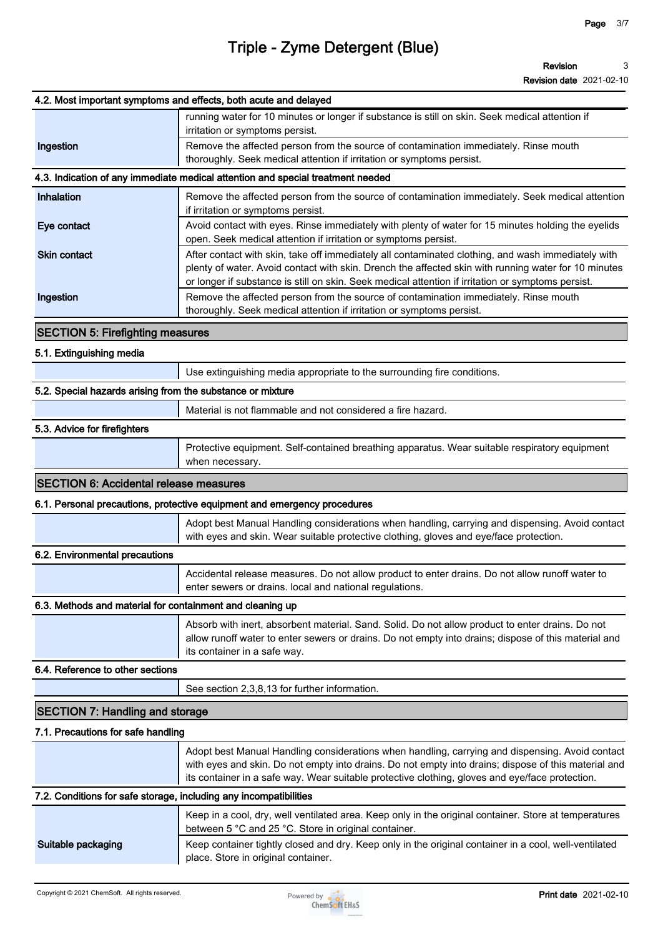**Revision date 2021-02-10**

|                                                                   | 4.2. Most important symptoms and effects, both acute and delayed                                                                                                                                                                                                                                                 |
|-------------------------------------------------------------------|------------------------------------------------------------------------------------------------------------------------------------------------------------------------------------------------------------------------------------------------------------------------------------------------------------------|
| Ingestion                                                         | running water for 10 minutes or longer if substance is still on skin. Seek medical attention if<br>irritation or symptoms persist.<br>Remove the affected person from the source of contamination immediately. Rinse mouth<br>thoroughly. Seek medical attention if irritation or symptoms persist.              |
|                                                                   | 4.3. Indication of any immediate medical attention and special treatment needed                                                                                                                                                                                                                                  |
| Inhalation                                                        | Remove the affected person from the source of contamination immediately. Seek medical attention                                                                                                                                                                                                                  |
|                                                                   | if irritation or symptoms persist.                                                                                                                                                                                                                                                                               |
| Eye contact                                                       | Avoid contact with eyes. Rinse immediately with plenty of water for 15 minutes holding the eyelids<br>open. Seek medical attention if irritation or symptoms persist.                                                                                                                                            |
| <b>Skin contact</b>                                               | After contact with skin, take off immediately all contaminated clothing, and wash immediately with<br>plenty of water. Avoid contact with skin. Drench the affected skin with running water for 10 minutes<br>or longer if substance is still on skin. Seek medical attention if irritation or symptoms persist. |
| Ingestion                                                         | Remove the affected person from the source of contamination immediately. Rinse mouth<br>thoroughly. Seek medical attention if irritation or symptoms persist.                                                                                                                                                    |
| <b>SECTION 5: Firefighting measures</b>                           |                                                                                                                                                                                                                                                                                                                  |
| 5.1. Extinguishing media                                          |                                                                                                                                                                                                                                                                                                                  |
|                                                                   | Use extinguishing media appropriate to the surrounding fire conditions.                                                                                                                                                                                                                                          |
| 5.2. Special hazards arising from the substance or mixture        |                                                                                                                                                                                                                                                                                                                  |
|                                                                   | Material is not flammable and not considered a fire hazard.                                                                                                                                                                                                                                                      |
| 5.3. Advice for firefighters                                      |                                                                                                                                                                                                                                                                                                                  |
|                                                                   | Protective equipment. Self-contained breathing apparatus. Wear suitable respiratory equipment<br>when necessary.                                                                                                                                                                                                 |
| <b>SECTION 6: Accidental release measures</b>                     |                                                                                                                                                                                                                                                                                                                  |
|                                                                   | 6.1. Personal precautions, protective equipment and emergency procedures                                                                                                                                                                                                                                         |
|                                                                   | Adopt best Manual Handling considerations when handling, carrying and dispensing. Avoid contact<br>with eyes and skin. Wear suitable protective clothing, gloves and eye/face protection.                                                                                                                        |
| 6.2. Environmental precautions                                    |                                                                                                                                                                                                                                                                                                                  |
|                                                                   | Accidental release measures. Do not allow product to enter drains. Do not allow runoff water to<br>enter sewers or drains. local and national regulations.                                                                                                                                                       |
| 6.3. Methods and material for containment and cleaning up         |                                                                                                                                                                                                                                                                                                                  |
|                                                                   | Absorb with inert, absorbent material. Sand. Solid. Do not allow product to enter drains. Do not<br>allow runoff water to enter sewers or drains. Do not empty into drains; dispose of this material and<br>its container in a safe way.                                                                         |
| 6.4. Reference to other sections                                  |                                                                                                                                                                                                                                                                                                                  |
|                                                                   | See section 2,3,8,13 for further information.                                                                                                                                                                                                                                                                    |
| <b>SECTION 7: Handling and storage</b>                            |                                                                                                                                                                                                                                                                                                                  |
| 7.1. Precautions for safe handling                                |                                                                                                                                                                                                                                                                                                                  |
|                                                                   | Adopt best Manual Handling considerations when handling, carrying and dispensing. Avoid contact<br>with eyes and skin. Do not empty into drains. Do not empty into drains; dispose of this material and<br>its container in a safe way. Wear suitable protective clothing, gloves and eye/face protection.       |
| 7.2. Conditions for safe storage, including any incompatibilities |                                                                                                                                                                                                                                                                                                                  |
|                                                                   | Keep in a cool, dry, well ventilated area. Keep only in the original container. Store at temperatures<br>between 5 °C and 25 °C. Store in original container.                                                                                                                                                    |
| Suitable packaging                                                | Keep container tightly closed and dry. Keep only in the original container in a cool, well-ventilated<br>place. Store in original container.                                                                                                                                                                     |

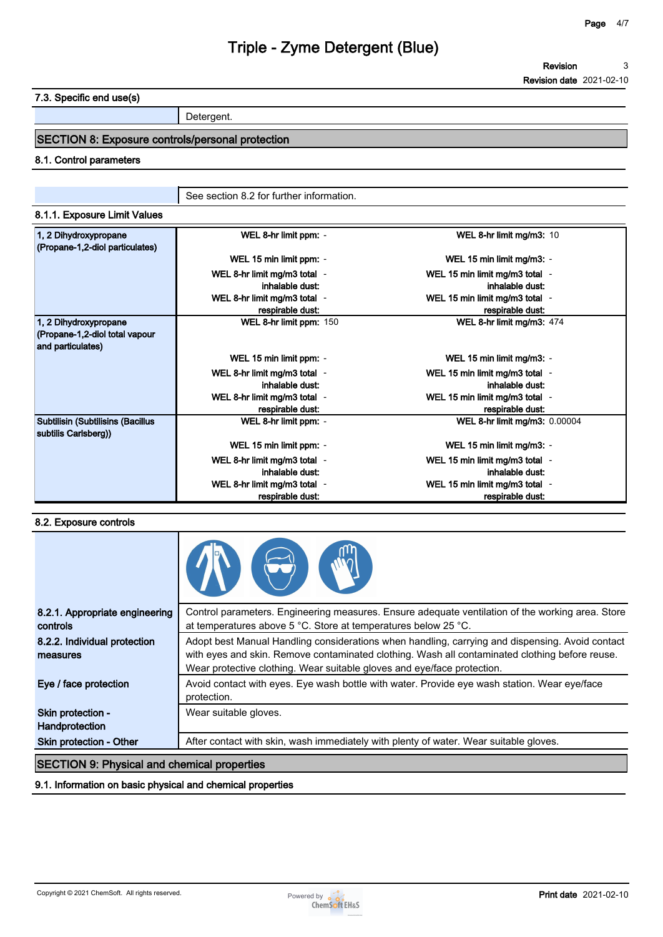**7.3. Specific end use(s)**

**Detergent.**

### **SECTION 8: Exposure controls/personal protection**

#### **8.1. Control parameters**

**See section 8.2 for further information.**

| 8.1.1. Exposure Limit Values |  |
|------------------------------|--|
|                              |  |

| 1, 2 Dihydroxypropane<br>(Propane-1,2-diol particulates)                     | WEL 8-hr limit ppm: -        | WEL 8-hr limit mg/m3: 10       |  |
|------------------------------------------------------------------------------|------------------------------|--------------------------------|--|
|                                                                              | WEL 15 min limit ppm: -      | WEL 15 min limit mg/m3: -      |  |
|                                                                              | WEL 8-hr limit mg/m3 total - | WEL 15 min limit mg/m3 total - |  |
|                                                                              | inhalable dust:              | inhalable dust:                |  |
|                                                                              | WEL 8-hr limit mg/m3 total - | WEL 15 min limit mg/m3 total - |  |
|                                                                              | respirable dust:             | respirable dust:               |  |
| 1, 2 Dihydroxypropane<br>(Propane-1,2-diol total vapour<br>and particulates) | WEL 8-hr limit ppm: 150      | WEL 8-hr limit mg/m3: 474      |  |
|                                                                              | WEL 15 min limit ppm: -      | WEL 15 min limit mg/m3: -      |  |
|                                                                              | WEL 8-hr limit mg/m3 total - | WEL 15 min limit mg/m3 total - |  |
|                                                                              | inhalable dust:              | inhalable dust:                |  |
|                                                                              | WEL 8-hr limit mg/m3 total - | WEL 15 min limit mg/m3 total - |  |
|                                                                              | respirable dust:             | respirable dust:               |  |
| <b>Subtilisin (Subtilisins (Bacillus</b><br>subtilis Carlsberg))             | WEL 8-hr limit ppm: -        | WEL 8-hr limit mg/m3: 0.00004  |  |
|                                                                              | WEL 15 min limit ppm: -      | WEL 15 min limit mg/m3: -      |  |
|                                                                              | WEL 8-hr limit mg/m3 total - | WEL 15 min limit mg/m3 total - |  |
|                                                                              | inhalable dust:              | inhalable dust:                |  |
|                                                                              | WEL 8-hr limit mg/m3 total - | WEL 15 min limit mg/m3 total - |  |
|                                                                              | respirable dust:             | respirable dust:               |  |

#### **8.2. Exposure controls**

| 8.2.1. Appropriate engineering<br>controls | Control parameters. Engineering measures. Ensure adequate ventilation of the working area. Store<br>at temperatures above 5 °C. Store at temperatures below 25 °C.                                                                                                           |
|--------------------------------------------|------------------------------------------------------------------------------------------------------------------------------------------------------------------------------------------------------------------------------------------------------------------------------|
| 8.2.2. Individual protection<br>measures   | Adopt best Manual Handling considerations when handling, carrying and dispensing. Avoid contact<br>with eyes and skin. Remove contaminated clothing. Wash all contaminated clothing before reuse.<br>Wear protective clothing. Wear suitable gloves and eye/face protection. |
| Eye / face protection                      | Avoid contact with eyes. Eye wash bottle with water. Provide eye wash station. Wear eye/face<br>protection.                                                                                                                                                                  |
| Skin protection -<br>Handprotection        | Wear suitable gloves.                                                                                                                                                                                                                                                        |
| Skin protection - Other                    | After contact with skin, wash immediately with plenty of water. Wear suitable gloves.                                                                                                                                                                                        |
|                                            |                                                                                                                                                                                                                                                                              |

#### **SECTION 9: Physical and chemical properties**

#### **9.1. Information on basic physical and chemical properties**

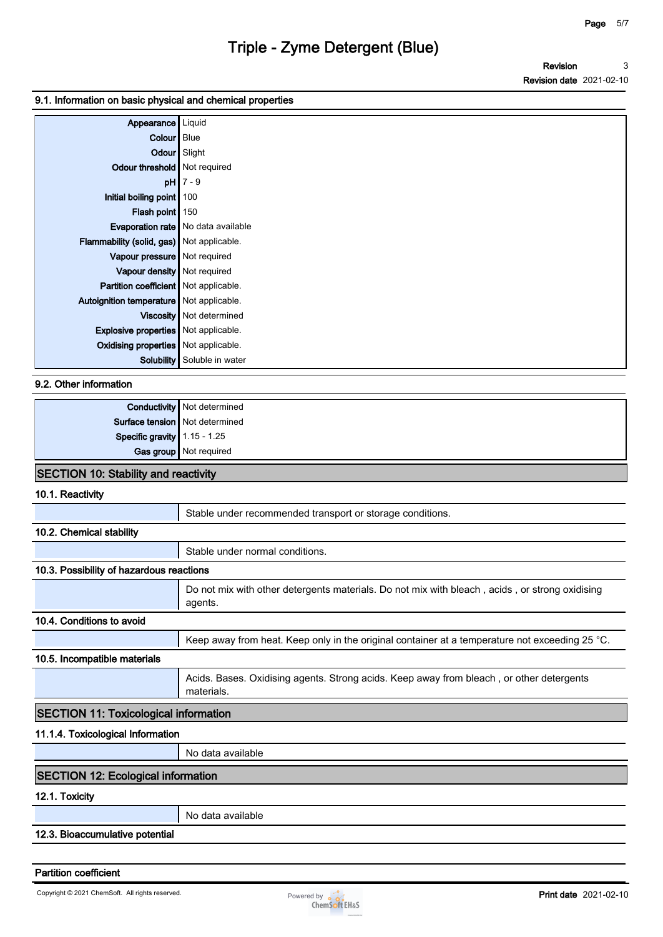#### **9.1. Information on basic physical and chemical properties**

| Appearance   Liquid                          |                  |
|----------------------------------------------|------------------|
| <b>Colour</b> Blue                           |                  |
| Odour Slight                                 |                  |
| Odour threshold   Not required               |                  |
| $pH$ 7 - 9                                   |                  |
| Initial boiling point   100                  |                  |
| Flash point   150                            |                  |
| <b>Evaporation rate</b> No data available    |                  |
| Flammability (solid, gas) Not applicable.    |                  |
| Vapour pressure   Not required               |                  |
| Vapour density   Not required                |                  |
| <b>Partition coefficient</b> Not applicable. |                  |
| Autoignition temperature Not applicable.     |                  |
| Viscosity   Not determined                   |                  |
| <b>Explosive properties</b> Not applicable.  |                  |
| <b>Oxidising properties</b> Not applicable.  |                  |
| <b>Solubility</b>                            | Soluble in water |

**9.2. Other information**

|                                | <b>Conductivity</b> Not determined |
|--------------------------------|------------------------------------|
|                                | Surface tension   Not determined   |
| Specific gravity $1.15 - 1.25$ |                                    |
|                                | Gas group Not required             |

#### **SECTION 10: Stability and reactivity**

**10.1. Reactivity**

|                                              | Stable under recommended transport or storage conditions.                                                 |
|----------------------------------------------|-----------------------------------------------------------------------------------------------------------|
| 10.2. Chemical stability                     |                                                                                                           |
|                                              | Stable under normal conditions.                                                                           |
| 10.3. Possibility of hazardous reactions     |                                                                                                           |
|                                              | Do not mix with other detergents materials. Do not mix with bleach, acids, or strong oxidising<br>agents. |
| 10.4. Conditions to avoid                    |                                                                                                           |
|                                              | Keep away from heat. Keep only in the original container at a temperature not exceeding 25 °C.            |
| 10.5. Incompatible materials                 |                                                                                                           |
|                                              | Acids. Bases. Oxidising agents. Strong acids. Keep away from bleach, or other detergents<br>materials.    |
| <b>SECTION 11: Toxicological information</b> |                                                                                                           |
| 11.1.4. Toxicological Information            |                                                                                                           |
|                                              | No data available                                                                                         |
| <b>SECTION 12: Ecological information</b>    |                                                                                                           |

#### **12.1. Toxicity**

**No data available**

**12.3. Bioaccumulative potential**

**Partition coefficient**

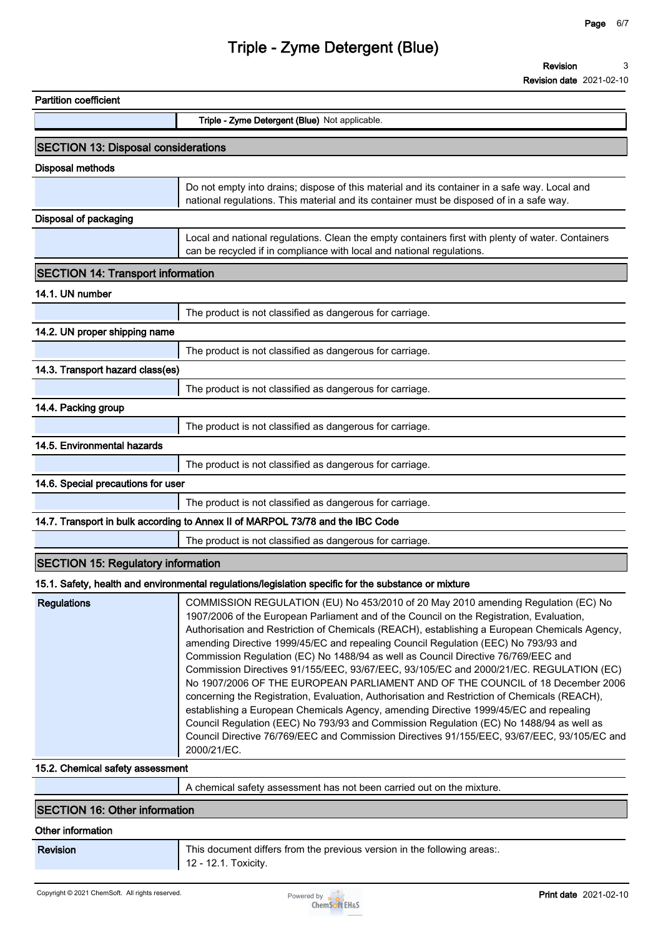| <b>Partition coefficient</b>               |                                                                                                                                                                                                                                                                                                                                                                                                                                                                                                                                                                                                                                                                                                                                                                                                                                                                                                                                                                                                                                         |
|--------------------------------------------|-----------------------------------------------------------------------------------------------------------------------------------------------------------------------------------------------------------------------------------------------------------------------------------------------------------------------------------------------------------------------------------------------------------------------------------------------------------------------------------------------------------------------------------------------------------------------------------------------------------------------------------------------------------------------------------------------------------------------------------------------------------------------------------------------------------------------------------------------------------------------------------------------------------------------------------------------------------------------------------------------------------------------------------------|
|                                            | Triple - Zyme Detergent (Blue) Not applicable.                                                                                                                                                                                                                                                                                                                                                                                                                                                                                                                                                                                                                                                                                                                                                                                                                                                                                                                                                                                          |
| <b>SECTION 13: Disposal considerations</b> |                                                                                                                                                                                                                                                                                                                                                                                                                                                                                                                                                                                                                                                                                                                                                                                                                                                                                                                                                                                                                                         |
| <b>Disposal methods</b>                    |                                                                                                                                                                                                                                                                                                                                                                                                                                                                                                                                                                                                                                                                                                                                                                                                                                                                                                                                                                                                                                         |
|                                            | Do not empty into drains; dispose of this material and its container in a safe way. Local and<br>national regulations. This material and its container must be disposed of in a safe way.                                                                                                                                                                                                                                                                                                                                                                                                                                                                                                                                                                                                                                                                                                                                                                                                                                               |
| <b>Disposal of packaging</b>               |                                                                                                                                                                                                                                                                                                                                                                                                                                                                                                                                                                                                                                                                                                                                                                                                                                                                                                                                                                                                                                         |
|                                            | Local and national regulations. Clean the empty containers first with plenty of water. Containers<br>can be recycled if in compliance with local and national regulations.                                                                                                                                                                                                                                                                                                                                                                                                                                                                                                                                                                                                                                                                                                                                                                                                                                                              |
| <b>SECTION 14: Transport information</b>   |                                                                                                                                                                                                                                                                                                                                                                                                                                                                                                                                                                                                                                                                                                                                                                                                                                                                                                                                                                                                                                         |
| 14.1. UN number                            |                                                                                                                                                                                                                                                                                                                                                                                                                                                                                                                                                                                                                                                                                                                                                                                                                                                                                                                                                                                                                                         |
|                                            | The product is not classified as dangerous for carriage.                                                                                                                                                                                                                                                                                                                                                                                                                                                                                                                                                                                                                                                                                                                                                                                                                                                                                                                                                                                |
| 14.2. UN proper shipping name              |                                                                                                                                                                                                                                                                                                                                                                                                                                                                                                                                                                                                                                                                                                                                                                                                                                                                                                                                                                                                                                         |
|                                            | The product is not classified as dangerous for carriage.                                                                                                                                                                                                                                                                                                                                                                                                                                                                                                                                                                                                                                                                                                                                                                                                                                                                                                                                                                                |
| 14.3. Transport hazard class(es)           |                                                                                                                                                                                                                                                                                                                                                                                                                                                                                                                                                                                                                                                                                                                                                                                                                                                                                                                                                                                                                                         |
|                                            | The product is not classified as dangerous for carriage.                                                                                                                                                                                                                                                                                                                                                                                                                                                                                                                                                                                                                                                                                                                                                                                                                                                                                                                                                                                |
| 14.4. Packing group                        |                                                                                                                                                                                                                                                                                                                                                                                                                                                                                                                                                                                                                                                                                                                                                                                                                                                                                                                                                                                                                                         |
|                                            | The product is not classified as dangerous for carriage.                                                                                                                                                                                                                                                                                                                                                                                                                                                                                                                                                                                                                                                                                                                                                                                                                                                                                                                                                                                |
| 14.5. Environmental hazards                |                                                                                                                                                                                                                                                                                                                                                                                                                                                                                                                                                                                                                                                                                                                                                                                                                                                                                                                                                                                                                                         |
|                                            | The product is not classified as dangerous for carriage.                                                                                                                                                                                                                                                                                                                                                                                                                                                                                                                                                                                                                                                                                                                                                                                                                                                                                                                                                                                |
| 14.6. Special precautions for user         |                                                                                                                                                                                                                                                                                                                                                                                                                                                                                                                                                                                                                                                                                                                                                                                                                                                                                                                                                                                                                                         |
|                                            | The product is not classified as dangerous for carriage.                                                                                                                                                                                                                                                                                                                                                                                                                                                                                                                                                                                                                                                                                                                                                                                                                                                                                                                                                                                |
|                                            | 14.7. Transport in bulk according to Annex II of MARPOL 73/78 and the IBC Code                                                                                                                                                                                                                                                                                                                                                                                                                                                                                                                                                                                                                                                                                                                                                                                                                                                                                                                                                          |
|                                            | The product is not classified as dangerous for carriage.                                                                                                                                                                                                                                                                                                                                                                                                                                                                                                                                                                                                                                                                                                                                                                                                                                                                                                                                                                                |
| <b>SECTION 15: Regulatory information</b>  |                                                                                                                                                                                                                                                                                                                                                                                                                                                                                                                                                                                                                                                                                                                                                                                                                                                                                                                                                                                                                                         |
|                                            | 15.1. Safety, health and environmental regulations/legislation specific for the substance or mixture                                                                                                                                                                                                                                                                                                                                                                                                                                                                                                                                                                                                                                                                                                                                                                                                                                                                                                                                    |
| <b>Regulations</b>                         | COMMISSION REGULATION (EU) No 453/2010 of 20 May 2010 amending Regulation (EC) No<br>1907/2006 of the European Parliament and of the Council on the Registration, Evaluation,<br>Authorisation and Restriction of Chemicals (REACH), establishing a European Chemicals Agency,<br>amending Directive 1999/45/EC and repealing Council Regulation (EEC) No 793/93 and<br>Commission Regulation (EC) No 1488/94 as well as Council Directive 76/769/EEC and<br>Commission Directives 91/155/EEC, 93/67/EEC, 93/105/EC and 2000/21/EC. REGULATION (EC)<br>No 1907/2006 OF THE EUROPEAN PARLIAMENT AND OF THE COUNCIL of 18 December 2006<br>concerning the Registration, Evaluation, Authorisation and Restriction of Chemicals (REACH),<br>establishing a European Chemicals Agency, amending Directive 1999/45/EC and repealing<br>Council Regulation (EEC) No 793/93 and Commission Regulation (EC) No 1488/94 as well as<br>Council Directive 76/769/EEC and Commission Directives 91/155/EEC, 93/67/EEC, 93/105/EC and<br>2000/21/EC. |
| 15.2. Chemical safety assessment           |                                                                                                                                                                                                                                                                                                                                                                                                                                                                                                                                                                                                                                                                                                                                                                                                                                                                                                                                                                                                                                         |
|                                            | A chemical safety assessment has not been carried out on the mixture.                                                                                                                                                                                                                                                                                                                                                                                                                                                                                                                                                                                                                                                                                                                                                                                                                                                                                                                                                                   |

#### **SECTION 16: Other information**

#### **Other information**

**Revision This document differs from the previous version in the following areas:. 12 - 12.1. Toxicity.**